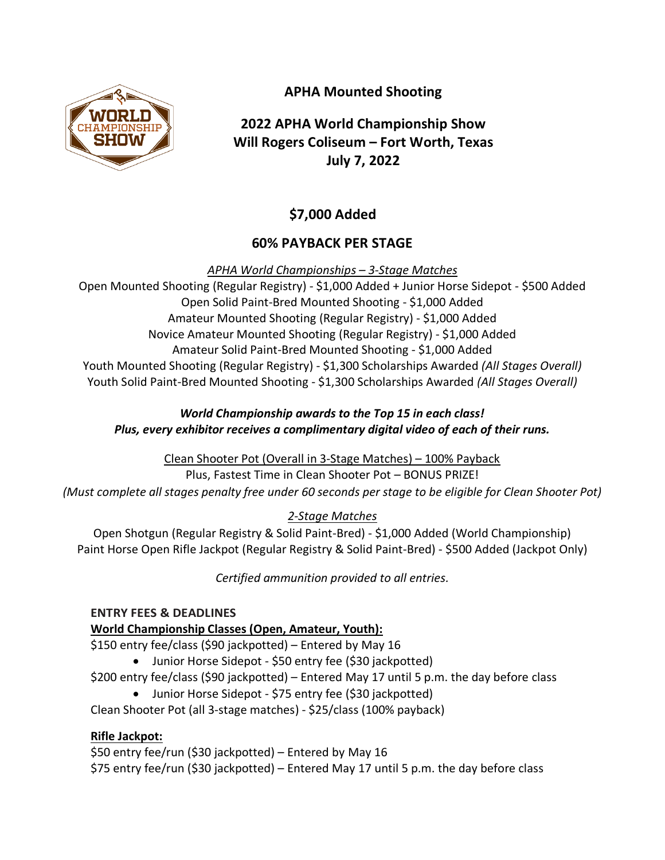

# **APHA Mounted Shooting**

# **2022 APHA World Championship Show Will Rogers Coliseum – Fort Worth, Texas July 7, 2022**

# **\$7,000 Added**

## **60% PAYBACK PER STAGE**

*APHA World Championships – 3-Stage Matches*

Open Mounted Shooting (Regular Registry) - \$1,000 Added + Junior Horse Sidepot - \$500 Added Open Solid Paint-Bred Mounted Shooting - \$1,000 Added Amateur Mounted Shooting (Regular Registry) - \$1,000 Added Novice Amateur Mounted Shooting (Regular Registry) - \$1,000 Added Amateur Solid Paint-Bred Mounted Shooting - \$1,000 Added Youth Mounted Shooting (Regular Registry) - \$1,300 Scholarships Awarded *(All Stages Overall)* Youth Solid Paint-Bred Mounted Shooting - \$1,300 Scholarships Awarded *(All Stages Overall)*

## *World Championship awards to the Top 15 in each class! Plus, every exhibitor receives a complimentary digital video of each of their runs.*

Clean Shooter Pot (Overall in 3-Stage Matches) – 100% Payback Plus, Fastest Time in Clean Shooter Pot – BONUS PRIZE! *(Must complete all stages penalty free under 60 seconds per stage to be eligible for Clean Shooter Pot)*

## *2-Stage Matches*

Open Shotgun (Regular Registry & Solid Paint-Bred) - \$1,000 Added (World Championship) Paint Horse Open Rifle Jackpot (Regular Registry & Solid Paint-Bred) - \$500 Added (Jackpot Only)

*Certified ammunition provided to all entries.*

## **ENTRY FEES & DEADLINES**

## **World Championship Classes (Open, Amateur, Youth):**

\$150 entry fee/class (\$90 jackpotted) – Entered by May 16

- Junior Horse Sidepot \$50 entry fee (\$30 jackpotted)
- \$200 entry fee/class (\$90 jackpotted) Entered May 17 until 5 p.m. the day before class
	- Junior Horse Sidepot \$75 entry fee (\$30 jackpotted)

Clean Shooter Pot (all 3-stage matches) - \$25/class (100% payback)

## **Rifle Jackpot:**

\$50 entry fee/run (\$30 jackpotted) – Entered by May 16 \$75 entry fee/run (\$30 jackpotted) – Entered May 17 until 5 p.m. the day before class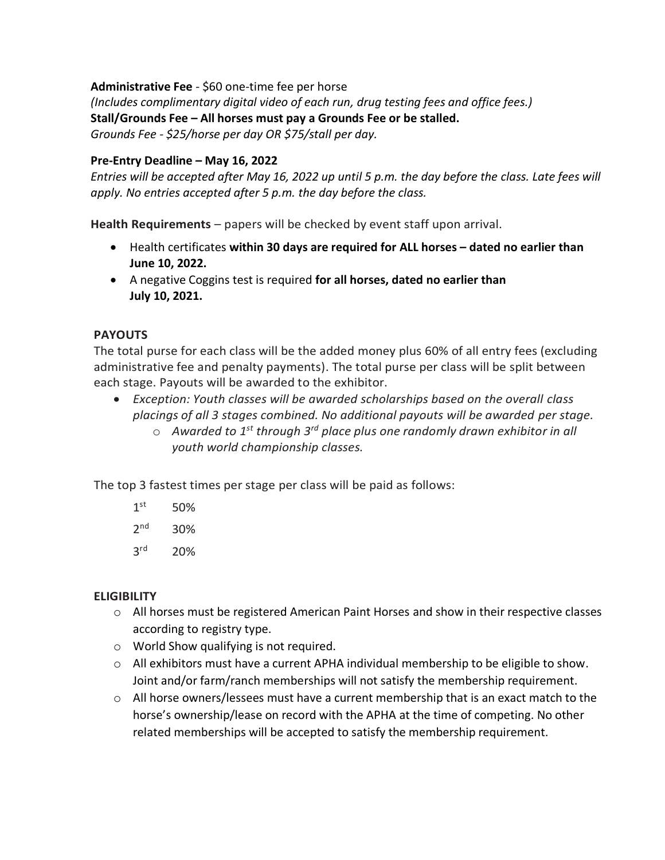**Administrative Fee** - \$60 one-time fee per horse

*(Includes complimentary digital video of each run, drug testing fees and office fees.)* **Stall/Grounds Fee – All horses must pay a Grounds Fee or be stalled.** *Grounds Fee - \$25/horse per day OR \$75/stall per day.* 

#### **Pre-Entry Deadline – May 16, 2022**

*Entries will be accepted after May 16, 2022 up until 5 p.m. the day before the class. Late fees will apply. No entries accepted after 5 p.m. the day before the class.*

**Health Requirements** – papers will be checked by event staff upon arrival.

- Health certificates **within 30 days are required for ALL horses – dated no earlier than June 10, 2022.**
- A negative Coggins test is required **for all horses, dated no earlier than July 10, 2021.**

#### **PAYOUTS**

The total purse for each class will be the added money plus 60% of all entry fees (excluding administrative fee and penalty payments). The total purse per class will be split between each stage. Payouts will be awarded to the exhibitor.

- *Exception: Youth classes will be awarded scholarships based on the overall class placings of all 3 stages combined. No additional payouts will be awarded per stage.*
	- o *Awarded to 1st through 3rd place plus one randomly drawn exhibitor in all youth world championship classes.*

The top 3 fastest times per stage per class will be paid as follows:

- $1<sup>st</sup>$ 50%
- $2<sup>nd</sup>$ 30%
- 3<sup>rd</sup> rd 20%

#### **ELIGIBILITY**

- o All horses must be registered American Paint Horses and show in their respective classes according to registry type.
- o World Show qualifying is not required.
- $\circ$  All exhibitors must have a current APHA individual membership to be eligible to show. Joint and/or farm/ranch memberships will not satisfy the membership requirement.
- o All horse owners/lessees must have a current membership that is an exact match to the horse's ownership/lease on record with the APHA at the time of competing. No other related memberships will be accepted to satisfy the membership requirement.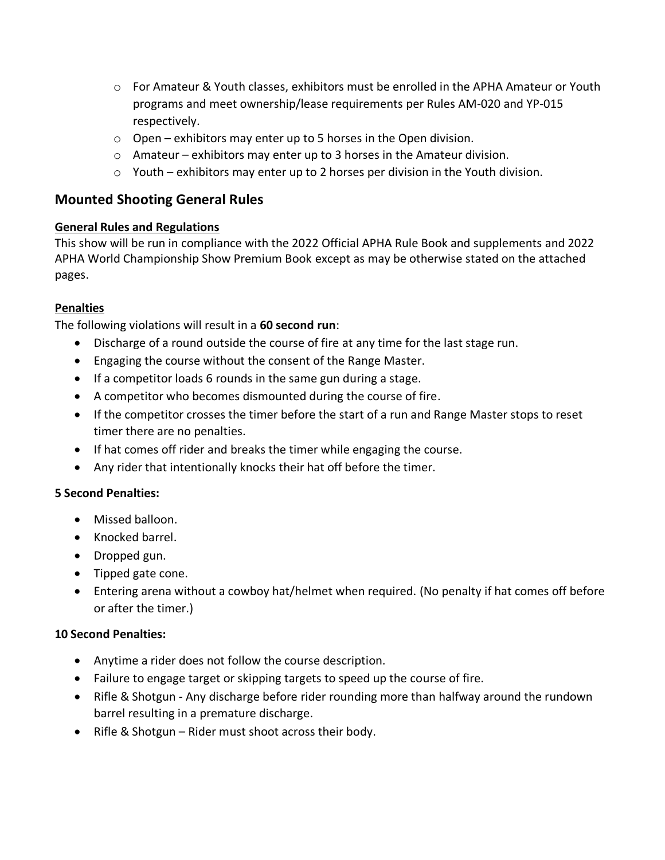- o For Amateur & Youth classes, exhibitors must be enrolled in the APHA Amateur or Youth programs and meet ownership/lease requirements per Rules AM-020 and YP-015 respectively.
- $\circ$  Open exhibitors may enter up to 5 horses in the Open division.
- o Amateur exhibitors may enter up to 3 horses in the Amateur division.
- o Youth exhibitors may enter up to 2 horses per division in the Youth division.

## **Mounted Shooting General Rules**

#### **General Rules and Regulations**

This show will be run in compliance with the 2022 Official APHA Rule Book and supplements and 2022 APHA World Championship Show Premium Book except as may be otherwise stated on the attached pages.

#### **Penalties**

The following violations will result in a **60 second run**:

- Discharge of a round outside the course of fire at any time for the last stage run.
- Engaging the course without the consent of the Range Master.
- If a competitor loads 6 rounds in the same gun during a stage.
- A competitor who becomes dismounted during the course of fire.
- If the competitor crosses the timer before the start of a run and Range Master stops to reset timer there are no penalties.
- If hat comes off rider and breaks the timer while engaging the course.
- Any rider that intentionally knocks their hat off before the timer.

#### **5 Second Penalties:**

- Missed balloon.
- Knocked barrel.
- Dropped gun.
- Tipped gate cone.
- Entering arena without a cowboy hat/helmet when required. (No penalty if hat comes off before or after the timer.)

#### **10 Second Penalties:**

- Anytime a rider does not follow the course description.
- Failure to engage target or skipping targets to speed up the course of fire.
- Rifle & Shotgun Any discharge before rider rounding more than halfway around the rundown barrel resulting in a premature discharge.
- Rifle & Shotgun Rider must shoot across their body.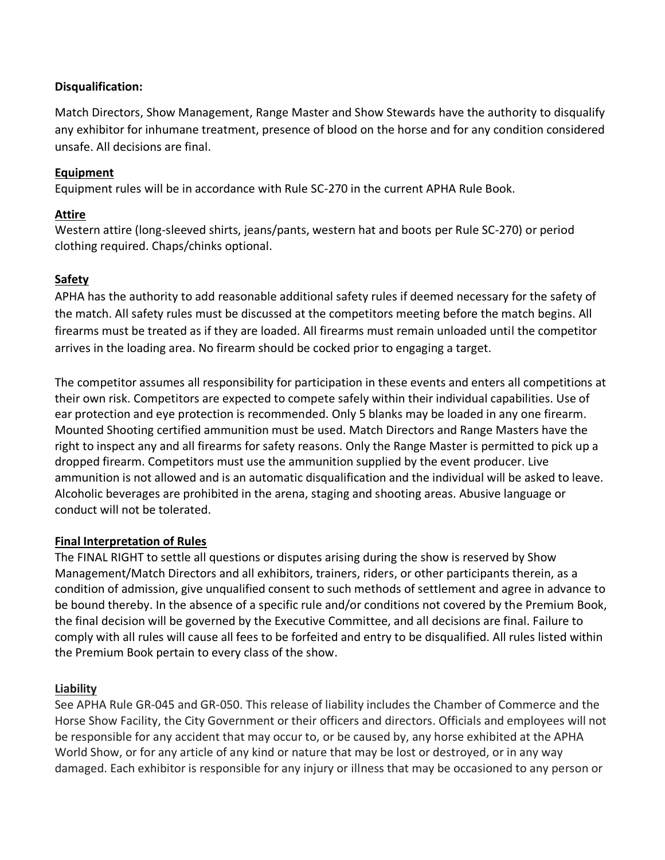#### **Disqualification:**

Match Directors, Show Management, Range Master and Show Stewards have the authority to disqualify any exhibitor for inhumane treatment, presence of blood on the horse and for any condition considered unsafe. All decisions are final.

### **Equipment**

Equipment rules will be in accordance with Rule SC-270 in the current APHA Rule Book.

#### **Attire**

Western attire (long-sleeved shirts, jeans/pants, western hat and boots per Rule SC-270) or period clothing required. Chaps/chinks optional.

## **Safety**

APHA has the authority to add reasonable additional safety rules if deemed necessary for the safety of the match. All safety rules must be discussed at the competitors meeting before the match begins. All firearms must be treated as if they are loaded. All firearms must remain unloaded until the competitor arrives in the loading area. No firearm should be cocked prior to engaging a target.

The competitor assumes all responsibility for participation in these events and enters all competitions at their own risk. Competitors are expected to compete safely within their individual capabilities. Use of ear protection and eye protection is recommended. Only 5 blanks may be loaded in any one firearm. Mounted Shooting certified ammunition must be used. Match Directors and Range Masters have the right to inspect any and all firearms for safety reasons. Only the Range Master is permitted to pick up a dropped firearm. Competitors must use the ammunition supplied by the event producer. Live ammunition is not allowed and is an automatic disqualification and the individual will be asked to leave. Alcoholic beverages are prohibited in the arena, staging and shooting areas. Abusive language or conduct will not be tolerated.

#### **Final Interpretation of Rules**

The FINAL RIGHT to settle all questions or disputes arising during the show is reserved by Show Management/Match Directors and all exhibitors, trainers, riders, or other participants therein, as a condition of admission, give unqualified consent to such methods of settlement and agree in advance to be bound thereby. In the absence of a specific rule and/or conditions not covered by the Premium Book, the final decision will be governed by the Executive Committee, and all decisions are final. Failure to comply with all rules will cause all fees to be forfeited and entry to be disqualified. All rules listed within the Premium Book pertain to every class of the show.

#### **Liability**

See APHA Rule GR-045 and GR-050. This release of liability includes the Chamber of Commerce and the Horse Show Facility, the City Government or their officers and directors. Officials and employees will not be responsible for any accident that may occur to, or be caused by, any horse exhibited at the APHA World Show, or for any article of any kind or nature that may be lost or destroyed, or in any way damaged. Each exhibitor is responsible for any injury or illness that may be occasioned to any person or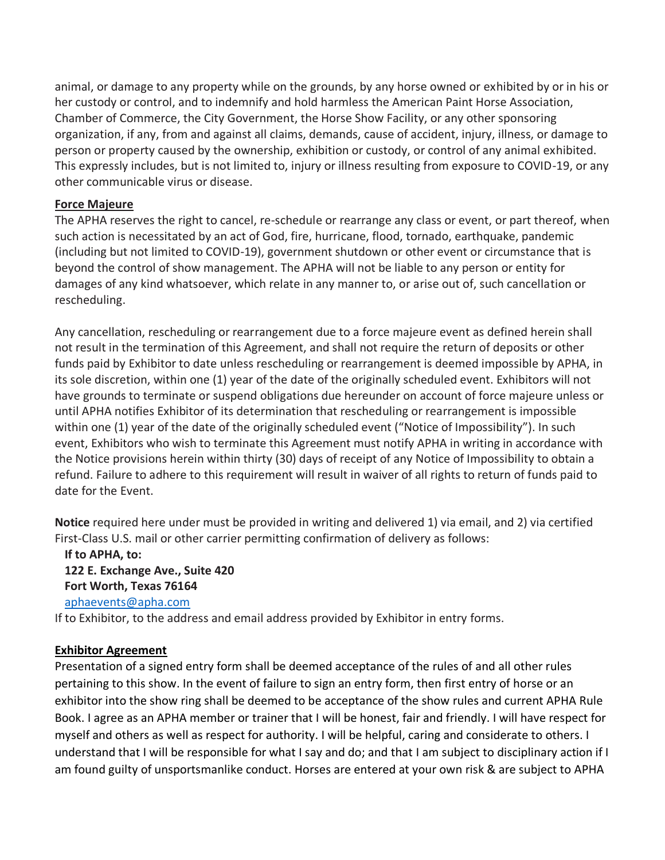animal, or damage to any property while on the grounds, by any horse owned or exhibited by or in his or her custody or control, and to indemnify and hold harmless the American Paint Horse Association, Chamber of Commerce, the City Government, the Horse Show Facility, or any other sponsoring organization, if any, from and against all claims, demands, cause of accident, injury, illness, or damage to person or property caused by the ownership, exhibition or custody, or control of any animal exhibited. This expressly includes, but is not limited to, injury or illness resulting from exposure to COVID-19, or any other communicable virus or disease.

#### **Force Majeure**

The APHA reserves the right to cancel, re-schedule or rearrange any class or event, or part thereof, when such action is necessitated by an act of God, fire, hurricane, flood, tornado, earthquake, pandemic (including but not limited to COVID-19), government shutdown or other event or circumstance that is beyond the control of show management. The APHA will not be liable to any person or entity for damages of any kind whatsoever, which relate in any manner to, or arise out of, such cancellation or rescheduling.

Any cancellation, rescheduling or rearrangement due to a force majeure event as defined herein shall not result in the termination of this Agreement, and shall not require the return of deposits or other funds paid by Exhibitor to date unless rescheduling or rearrangement is deemed impossible by APHA, in its sole discretion, within one (1) year of the date of the originally scheduled event. Exhibitors will not have grounds to terminate or suspend obligations due hereunder on account of force majeure unless or until APHA notifies Exhibitor of its determination that rescheduling or rearrangement is impossible within one (1) year of the date of the originally scheduled event ("Notice of Impossibility"). In such event, Exhibitors who wish to terminate this Agreement must notify APHA in writing in accordance with the Notice provisions herein within thirty (30) days of receipt of any Notice of Impossibility to obtain a refund. Failure to adhere to this requirement will result in waiver of all rights to return of funds paid to date for the Event.

**Notice** required here under must be provided in writing and delivered 1) via email, and 2) via certified First-Class U.S. mail or other carrier permitting confirmation of delivery as follows:

**If to APHA, to: 122 E. Exchange Ave., Suite 420 Fort Worth, Texas 76164**  [aphaevents@apha.com](mailto:aphaevents@apha.com)

If to Exhibitor, to the address and email address provided by Exhibitor in entry forms.

#### **Exhibitor Agreement**

Presentation of a signed entry form shall be deemed acceptance of the rules of and all other rules pertaining to this show. In the event of failure to sign an entry form, then first entry of horse or an exhibitor into the show ring shall be deemed to be acceptance of the show rules and current APHA Rule Book. I agree as an APHA member or trainer that I will be honest, fair and friendly. I will have respect for myself and others as well as respect for authority. I will be helpful, caring and considerate to others. I understand that I will be responsible for what I say and do; and that I am subject to disciplinary action if I am found guilty of unsportsmanlike conduct. Horses are entered at your own risk & are subject to APHA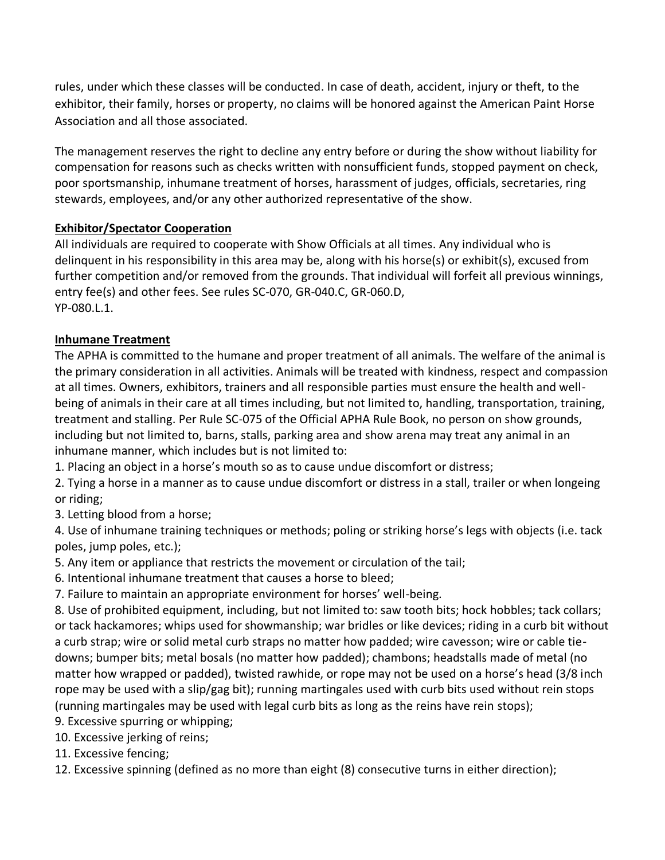rules, under which these classes will be conducted. In case of death, accident, injury or theft, to the exhibitor, their family, horses or property, no claims will be honored against the American Paint Horse Association and all those associated.

The management reserves the right to decline any entry before or during the show without liability for compensation for reasons such as checks written with nonsufficient funds, stopped payment on check, poor sportsmanship, inhumane treatment of horses, harassment of judges, officials, secretaries, ring stewards, employees, and/or any other authorized representative of the show.

## **Exhibitor/Spectator Cooperation**

All individuals are required to cooperate with Show Officials at all times. Any individual who is delinquent in his responsibility in this area may be, along with his horse(s) or exhibit(s), excused from further competition and/or removed from the grounds. That individual will forfeit all previous winnings, entry fee(s) and other fees. See rules SC-070, GR-040.C, GR-060.D, YP-080.L.1.

#### **Inhumane Treatment**

The APHA is committed to the humane and proper treatment of all animals. The welfare of the animal is the primary consideration in all activities. Animals will be treated with kindness, respect and compassion at all times. Owners, exhibitors, trainers and all responsible parties must ensure the health and wellbeing of animals in their care at all times including, but not limited to, handling, transportation, training, treatment and stalling. Per Rule SC-075 of the Official APHA Rule Book, no person on show grounds, including but not limited to, barns, stalls, parking area and show arena may treat any animal in an inhumane manner, which includes but is not limited to:

1. Placing an object in a horse's mouth so as to cause undue discomfort or distress;

2. Tying a horse in a manner as to cause undue discomfort or distress in a stall, trailer or when longeing or riding;

3. Letting blood from a horse;

4. Use of inhumane training techniques or methods; poling or striking horse's legs with objects (i.e. tack poles, jump poles, etc.);

5. Any item or appliance that restricts the movement or circulation of the tail;

6. Intentional inhumane treatment that causes a horse to bleed;

7. Failure to maintain an appropriate environment for horses' well-being.

8. Use of prohibited equipment, including, but not limited to: saw tooth bits; hock hobbles; tack collars; or tack hackamores; whips used for showmanship; war bridles or like devices; riding in a curb bit without a curb strap; wire or solid metal curb straps no matter how padded; wire cavesson; wire or cable tiedowns; bumper bits; metal bosals (no matter how padded); chambons; headstalls made of metal (no matter how wrapped or padded), twisted rawhide, or rope may not be used on a horse's head (3/8 inch rope may be used with a slip/gag bit); running martingales used with curb bits used without rein stops (running martingales may be used with legal curb bits as long as the reins have rein stops);

9. Excessive spurring or whipping;

10. Excessive jerking of reins;

11. Excessive fencing;

12. Excessive spinning (defined as no more than eight (8) consecutive turns in either direction);